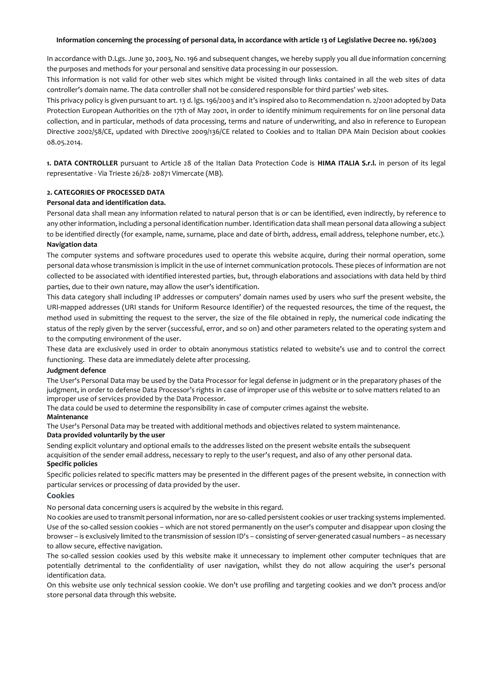### **Information concerning the processing of personal data, in accordance with article 13 of Legislative Decree no. 196/2003**

In accordance with D.Lgs. June 30, 2003, No. 196 and subsequent changes, we hereby supply you all due information concerning the purposes and methods for your personal and sensitive data processing in our possession.

This information is not valid for other web sites which might be visited through links contained in all the web sites of data controller's domain name. The data controller shall not be considered responsible for third parties' web sites.

This privacy policy is given pursuant to art. 13 d. lgs. 196/2003 and it's inspired also to Recommendation n. 2/2001 adopted by Data Protection European Authorities on the 17th of May 2001, in order to identify minimum requirements for on line personal data collection, and in particular, methods of data processing, terms and nature of underwriting, and also in reference to European Directive 2002/58/CE, updated with Directive 2009/136/CE related to Cookies and to Italian DPA Main Decision about cookies 08.05.2014.

**1. DATA CONTROLLER** pursuant to Article 28 of the Italian Data Protection Code is **HIMA ITALIA S.r.l.** in person of its legal representative - Via Trieste 26/28- 20871 Vimercate (MB).

#### **2. CATEGORIES OF PROCESSED DATA**

## **Personal data and identification data.**

Personal data shall mean any information related to natural person that is or can be identified, even indirectly, by reference to any other information, including a personal identification number. Identification data shall mean personal data allowing a subject to be identified directly (for example, name, surname, place and date of birth, address, email address, telephone number, etc.).

## **Navigation data**

The computer systems and software procedures used to operate this website acquire, during their normal operation, some personal data whose transmission is implicit in the use of internet communication protocols. These pieces of information are not collected to be associated with identified interested parties, but, through elaborations and associations with data held by third parties, due to their own nature, may allow the user's identification.

This data category shall including IP addresses or computers' domain names used by users who surf the present website, the URI-mapped addresses (URI stands for Uniform Resource Identifier) of the requested resources, the time of the request, the method used in submitting the request to the server, the size of the file obtained in reply, the numerical code indicating the status of the reply given by the server (successful, error, and so on) and other parameters related to the operating system and to the computing environment of the user.

These data are exclusively used in order to obtain anonymous statistics related to website's use and to control the correct functioning. These data are immediately delete after processing.

#### **Judgment defence**

The User's Personal Data may be used by the Data Processor for legal defense in judgment or in the preparatory phases of the judgment, in order to defense Data Processor's rights in case of improper use of this website or to solve matters related to an improper use of services provided by the Data Processor.

The data could be used to determine the responsibility in case of computer crimes against the website.

#### **Maintenance**

The User's Personal Data may be treated with additional methods and objectives related to system maintenance. **Data provided voluntarily by the user** 

Sending explicit voluntary and optional emails to the addresses listed on the present website entails the subsequent acquisition of the sender email address, necessary to reply to the user's request, and also of any other personal data. **Specific policies**

Specific policies related to specific matters may be presented in the different pages of the present website, in connection with particular services or processing of data provided by the user.

#### **Cookies**

No personal data concerning users is acquired by the website in this regard.

No cookies are used to transmit personal information, nor are so-called persistent cookies or user tracking systems implemented. Use of the so-called session cookies – which are not stored permanently on the user's computer and disappear upon closing the browser – is exclusively limited to the transmission of session ID's – consisting of server-generated casual numbers – as necessary to allow secure, effective navigation.

The so-called session cookies used by this website make it unnecessary to implement other computer techniques that are potentially detrimental to the confidentiality of user navigation, whilst they do not allow acquiring the user's personal identification data.

On this website use only technical session cookie. We don't use profiling and targeting cookies and we don't process and/or store personal data through this website.